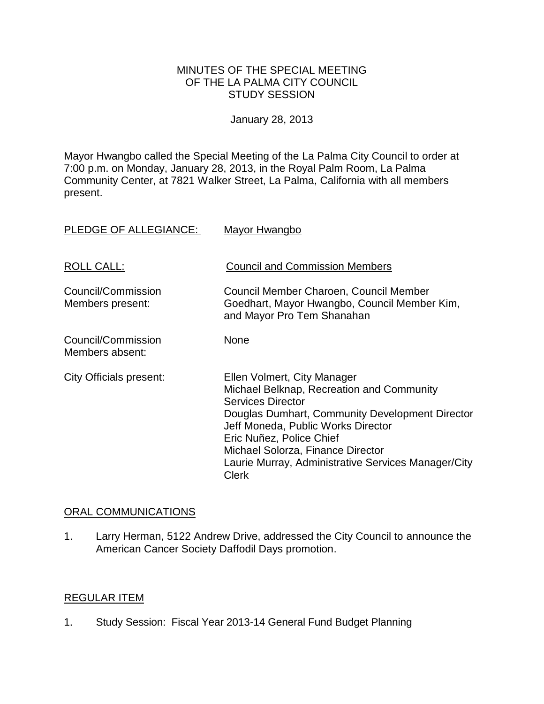#### MINUTES OF THE SPECIAL MEETING OF THE LA PALMA CITY COUNCIL STUDY SESSION

January 28, 2013

Mayor Hwangbo called the Special Meeting of the La Palma City Council to order at 7:00 p.m. on Monday, January 28, 2013, in the Royal Palm Room, La Palma Community Center, at 7821 Walker Street, La Palma, California with all members present.

| PLEDGE OF ALLEGIANCE:                  | <b>Mayor Hwangbo</b>                                                                                                                                                                                                                                                                                                                  |
|----------------------------------------|---------------------------------------------------------------------------------------------------------------------------------------------------------------------------------------------------------------------------------------------------------------------------------------------------------------------------------------|
| ROLL CALL:                             | <b>Council and Commission Members</b>                                                                                                                                                                                                                                                                                                 |
| Council/Commission<br>Members present: | Council Member Charoen, Council Member<br>Goedhart, Mayor Hwangbo, Council Member Kim,<br>and Mayor Pro Tem Shanahan                                                                                                                                                                                                                  |
| Council/Commission<br>Members absent:  | <b>None</b>                                                                                                                                                                                                                                                                                                                           |
| City Officials present:                | Ellen Volmert, City Manager<br>Michael Belknap, Recreation and Community<br><b>Services Director</b><br>Douglas Dumhart, Community Development Director<br>Jeff Moneda, Public Works Director<br>Eric Nuñez, Police Chief<br>Michael Solorza, Finance Director<br>Laurie Murray, Administrative Services Manager/City<br><b>Clerk</b> |

## ORAL COMMUNICATIONS

1. Larry Herman, 5122 Andrew Drive, addressed the City Council to announce the American Cancer Society Daffodil Days promotion.

# REGULAR ITEM

1. Study Session: Fiscal Year 2013-14 General Fund Budget Planning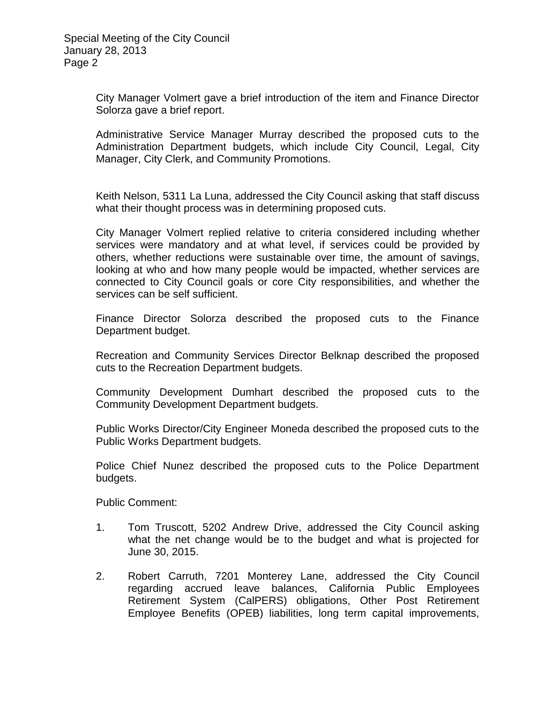City Manager Volmert gave a brief introduction of the item and Finance Director Solorza gave a brief report.

Administrative Service Manager Murray described the proposed cuts to the Administration Department budgets, which include City Council, Legal, City Manager, City Clerk, and Community Promotions.

Keith Nelson, 5311 La Luna, addressed the City Council asking that staff discuss what their thought process was in determining proposed cuts.

City Manager Volmert replied relative to criteria considered including whether services were mandatory and at what level, if services could be provided by others, whether reductions were sustainable over time, the amount of savings, looking at who and how many people would be impacted, whether services are connected to City Council goals or core City responsibilities, and whether the services can be self sufficient.

Finance Director Solorza described the proposed cuts to the Finance Department budget.

Recreation and Community Services Director Belknap described the proposed cuts to the Recreation Department budgets.

Community Development Dumhart described the proposed cuts to the Community Development Department budgets.

Public Works Director/City Engineer Moneda described the proposed cuts to the Public Works Department budgets.

Police Chief Nunez described the proposed cuts to the Police Department budgets.

Public Comment:

- 1. Tom Truscott, 5202 Andrew Drive, addressed the City Council asking what the net change would be to the budget and what is projected for June 30, 2015.
- 2. Robert Carruth, 7201 Monterey Lane, addressed the City Council regarding accrued leave balances, California Public Employees Retirement System (CalPERS) obligations, Other Post Retirement Employee Benefits (OPEB) liabilities, long term capital improvements,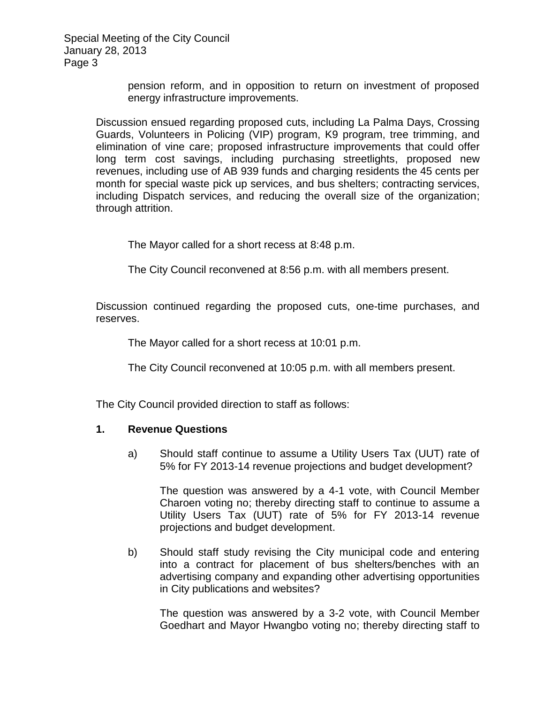> pension reform, and in opposition to return on investment of proposed energy infrastructure improvements.

Discussion ensued regarding proposed cuts, including La Palma Days, Crossing Guards, Volunteers in Policing (VIP) program, K9 program, tree trimming, and elimination of vine care; proposed infrastructure improvements that could offer long term cost savings, including purchasing streetlights, proposed new revenues, including use of AB 939 funds and charging residents the 45 cents per month for special waste pick up services, and bus shelters; contracting services, including Dispatch services, and reducing the overall size of the organization; through attrition.

The Mayor called for a short recess at 8:48 p.m.

The City Council reconvened at 8:56 p.m. with all members present.

Discussion continued regarding the proposed cuts, one-time purchases, and reserves.

The Mayor called for a short recess at 10:01 p.m.

The City Council reconvened at 10:05 p.m. with all members present.

The City Council provided direction to staff as follows:

#### **1. Revenue Questions**

a) Should staff continue to assume a Utility Users Tax (UUT) rate of 5% for FY 2013-14 revenue projections and budget development?

The question was answered by a 4-1 vote, with Council Member Charoen voting no; thereby directing staff to continue to assume a Utility Users Tax (UUT) rate of 5% for FY 2013-14 revenue projections and budget development.

b) Should staff study revising the City municipal code and entering into a contract for placement of bus shelters/benches with an advertising company and expanding other advertising opportunities in City publications and websites?

The question was answered by a 3-2 vote, with Council Member Goedhart and Mayor Hwangbo voting no; thereby directing staff to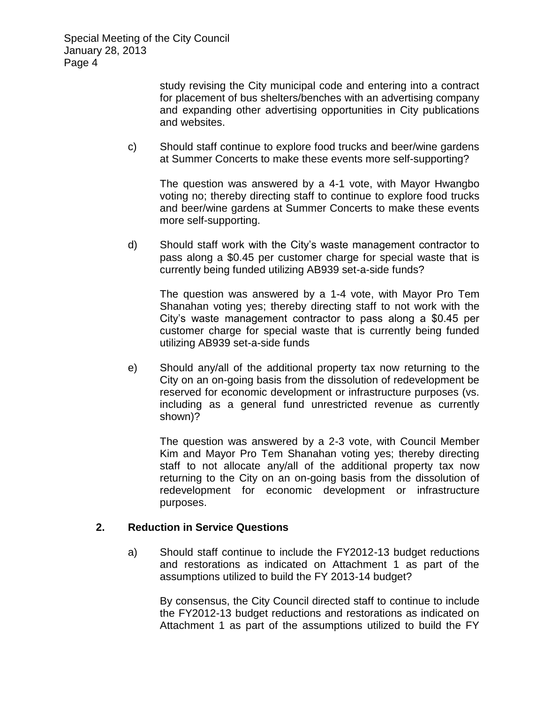> study revising the City municipal code and entering into a contract for placement of bus shelters/benches with an advertising company and expanding other advertising opportunities in City publications and websites.

c) Should staff continue to explore food trucks and beer/wine gardens at Summer Concerts to make these events more self-supporting?

The question was answered by a 4-1 vote, with Mayor Hwangbo voting no; thereby directing staff to continue to explore food trucks and beer/wine gardens at Summer Concerts to make these events more self-supporting.

d) Should staff work with the City's waste management contractor to pass along a \$0.45 per customer charge for special waste that is currently being funded utilizing AB939 set-a-side funds?

The question was answered by a 1-4 vote, with Mayor Pro Tem Shanahan voting yes; thereby directing staff to not work with the City's waste management contractor to pass along a \$0.45 per customer charge for special waste that is currently being funded utilizing AB939 set-a-side funds

e) Should any/all of the additional property tax now returning to the City on an on-going basis from the dissolution of redevelopment be reserved for economic development or infrastructure purposes (vs. including as a general fund unrestricted revenue as currently shown)?

The question was answered by a 2-3 vote, with Council Member Kim and Mayor Pro Tem Shanahan voting yes; thereby directing staff to not allocate any/all of the additional property tax now returning to the City on an on-going basis from the dissolution of redevelopment for economic development or infrastructure purposes.

## **2. Reduction in Service Questions**

a) Should staff continue to include the FY2012-13 budget reductions and restorations as indicated on Attachment 1 as part of the assumptions utilized to build the FY 2013-14 budget?

By consensus, the City Council directed staff to continue to include the FY2012-13 budget reductions and restorations as indicated on Attachment 1 as part of the assumptions utilized to build the FY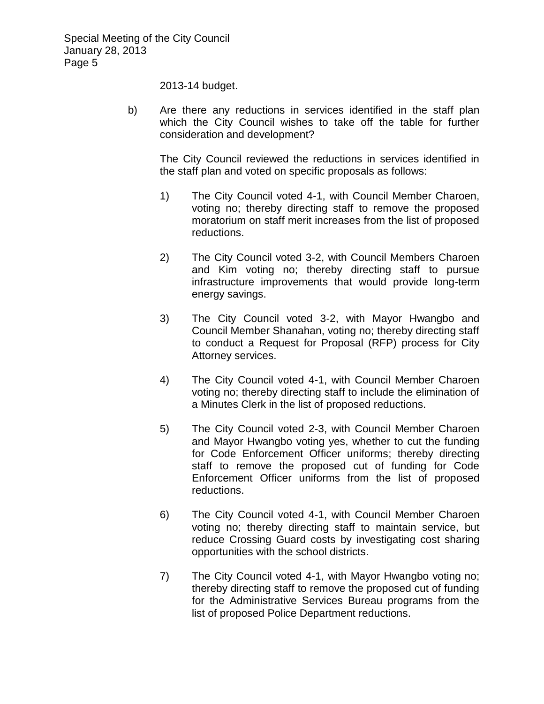2013-14 budget.

b) Are there any reductions in services identified in the staff plan which the City Council wishes to take off the table for further consideration and development?

The City Council reviewed the reductions in services identified in the staff plan and voted on specific proposals as follows:

- 1) The City Council voted 4-1, with Council Member Charoen, voting no; thereby directing staff to remove the proposed moratorium on staff merit increases from the list of proposed reductions.
- 2) The City Council voted 3-2, with Council Members Charoen and Kim voting no; thereby directing staff to pursue infrastructure improvements that would provide long-term energy savings.
- 3) The City Council voted 3-2, with Mayor Hwangbo and Council Member Shanahan, voting no; thereby directing staff to conduct a Request for Proposal (RFP) process for City Attorney services.
- 4) The City Council voted 4-1, with Council Member Charoen voting no; thereby directing staff to include the elimination of a Minutes Clerk in the list of proposed reductions.
- 5) The City Council voted 2-3, with Council Member Charoen and Mayor Hwangbo voting yes, whether to cut the funding for Code Enforcement Officer uniforms; thereby directing staff to remove the proposed cut of funding for Code Enforcement Officer uniforms from the list of proposed reductions.
- 6) The City Council voted 4-1, with Council Member Charoen voting no; thereby directing staff to maintain service, but reduce Crossing Guard costs by investigating cost sharing opportunities with the school districts.
- 7) The City Council voted 4-1, with Mayor Hwangbo voting no; thereby directing staff to remove the proposed cut of funding for the Administrative Services Bureau programs from the list of proposed Police Department reductions.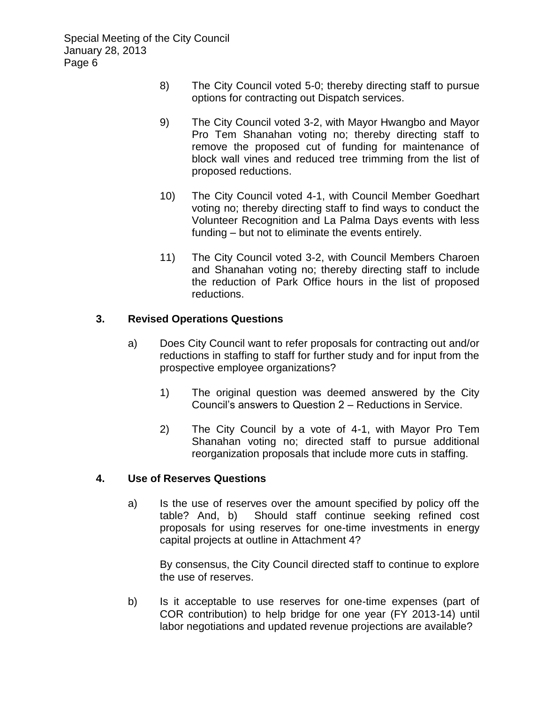- 8) The City Council voted 5-0; thereby directing staff to pursue options for contracting out Dispatch services.
- 9) The City Council voted 3-2, with Mayor Hwangbo and Mayor Pro Tem Shanahan voting no; thereby directing staff to remove the proposed cut of funding for maintenance of block wall vines and reduced tree trimming from the list of proposed reductions.
- 10) The City Council voted 4-1, with Council Member Goedhart voting no; thereby directing staff to find ways to conduct the Volunteer Recognition and La Palma Days events with less funding – but not to eliminate the events entirely.
- 11) The City Council voted 3-2, with Council Members Charoen and Shanahan voting no; thereby directing staff to include the reduction of Park Office hours in the list of proposed reductions.

## **3. Revised Operations Questions**

- a) Does City Council want to refer proposals for contracting out and/or reductions in staffing to staff for further study and for input from the prospective employee organizations?
	- 1) The original question was deemed answered by the City Council's answers to Question 2 – Reductions in Service.
	- 2) The City Council by a vote of 4-1, with Mayor Pro Tem Shanahan voting no; directed staff to pursue additional reorganization proposals that include more cuts in staffing.

## **4. Use of Reserves Questions**

a) Is the use of reserves over the amount specified by policy off the table? And, b) Should staff continue seeking refined cost proposals for using reserves for one-time investments in energy capital projects at outline in Attachment 4?

By consensus, the City Council directed staff to continue to explore the use of reserves.

b) Is it acceptable to use reserves for one-time expenses (part of COR contribution) to help bridge for one year (FY 2013-14) until labor negotiations and updated revenue projections are available?